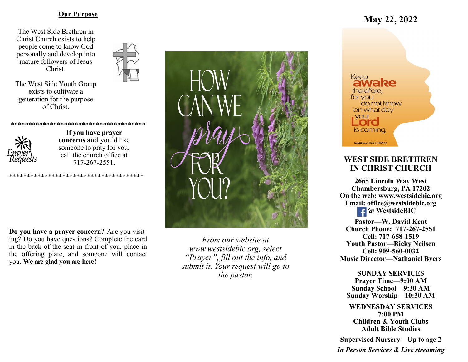#### **Our Purpose**

The West Side Brethren in Christ Church exists to help people come to know God personally and develop into mature followers of Jesus Christ.



The West Side Youth Group exists to cultivate a generation for the purpose of Christ.



**If you have prayer concerns** and you'd like someone to pray for you, call the church office at 717-267-2551.

\*\*\*\*\*\*\*\*\*\*\*\*\*\*\*\*\*\*\*\*\*\*\*\*\*\*\*\*\*\*\*\*

\*\*\*\*\*\*\*\*\*\*\*\*\*\*\*\*\*\*

**Do you have a prayer concern?** Are you visiting? Do you have questions? Complete the card in the back of the seat in front of you, place in the offering plate, and someone will contact you. **We are glad you are here!**



*From our website at www.westsidebic.org, select "Prayer", fill out the info, and submit it. Your request will go to the pastor.*

# **May 22, 2022**



# **WEST SIDE BRETHREN IN CHRIST CHURCH**

**2665 Lincoln Way West Chambersburg, PA 17202 On the web: [www.westsidebic.org](http://www.westsidebic.org) Email: office@westsidebic.org** *g <u>g</u> WestsideBIC* 

**Pastor—W. David Kent Church Phone: 717-267-2551 Cell: 717-658-1519 Youth Pastor—Ricky Neilsen Cell: 909-560-0032 Music Director—Nathaniel Byers**

**SUNDAY SERVICES Prayer Time—9:00 AM Sunday School—9:30 AM Sunday Worship—10:30 AM**

**WEDNESDAY SERVICES 7:00 PM Children & Youth Clubs Adult Bible Studies**

**Supervised Nursery—Up to age 2**

*In Person Services & Live streaming*